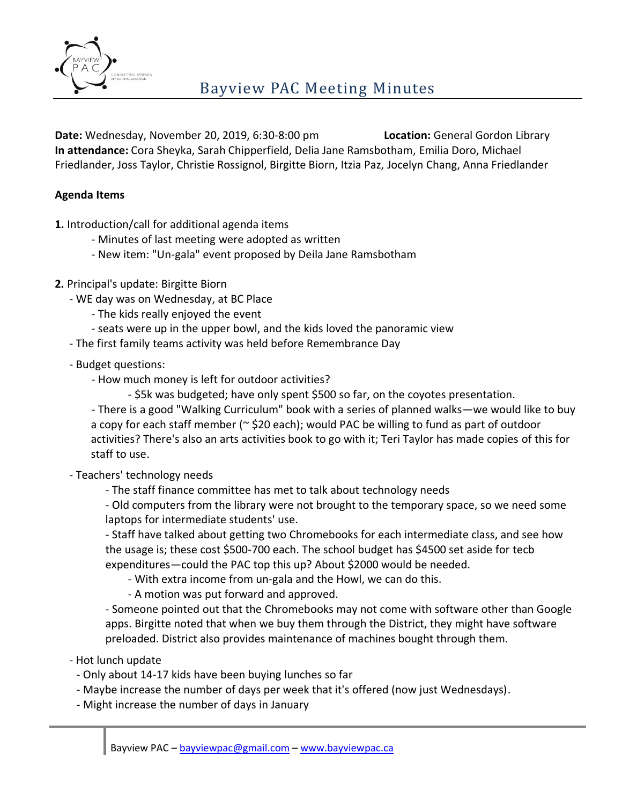

**Date:** Wednesday, November 20, 2019, 6:30-8:00 pm **Location:** General Gordon Library **In attendance:** Cora Sheyka, Sarah Chipperfield, Delia Jane Ramsbotham, Emilia Doro, Michael Friedlander, Joss Taylor, Christie Rossignol, Birgitte Biorn, Itzia Paz, Jocelyn Chang, Anna Friedlander

## **Agenda Items**

**1.** Introduction/call for additional agenda items

- Minutes of last meeting were adopted as written
- New item: "Un-gala" event proposed by Deila Jane Ramsbotham
- **2.** Principal's update: Birgitte Biorn
	- WE day was on Wednesday, at BC Place
		- The kids really enjoyed the event
		- seats were up in the upper bowl, and the kids loved the panoramic view
	- The first family teams activity was held before Remembrance Day
	- Budget questions:
		- How much money is left for outdoor activities?
			- \$5k was budgeted; have only spent \$500 so far, on the coyotes presentation.

- There is a good "Walking Curriculum" book with a series of planned walks—we would like to buy a copy for each staff member (~ \$20 each); would PAC be willing to fund as part of outdoor activities? There's also an arts activities book to go with it; Teri Taylor has made copies of this for staff to use.

- Teachers' technology needs
	- The staff finance committee has met to talk about technology needs

- Old computers from the library were not brought to the temporary space, so we need some laptops for intermediate students' use.

- Staff have talked about getting two Chromebooks for each intermediate class, and see how the usage is; these cost \$500-700 each. The school budget has \$4500 set aside for tecb expenditures—could the PAC top this up? About \$2000 would be needed.

- With extra income from un-gala and the Howl, we can do this.
- A motion was put forward and approved.

- Someone pointed out that the Chromebooks may not come with software other than Google apps. Birgitte noted that when we buy them through the District, they might have software preloaded. District also provides maintenance of machines bought through them.

- Hot lunch update
	- Only about 14-17 kids have been buying lunches so far
	- Maybe increase the number of days per week that it's offered (now just Wednesdays).
	- Might increase the number of days in January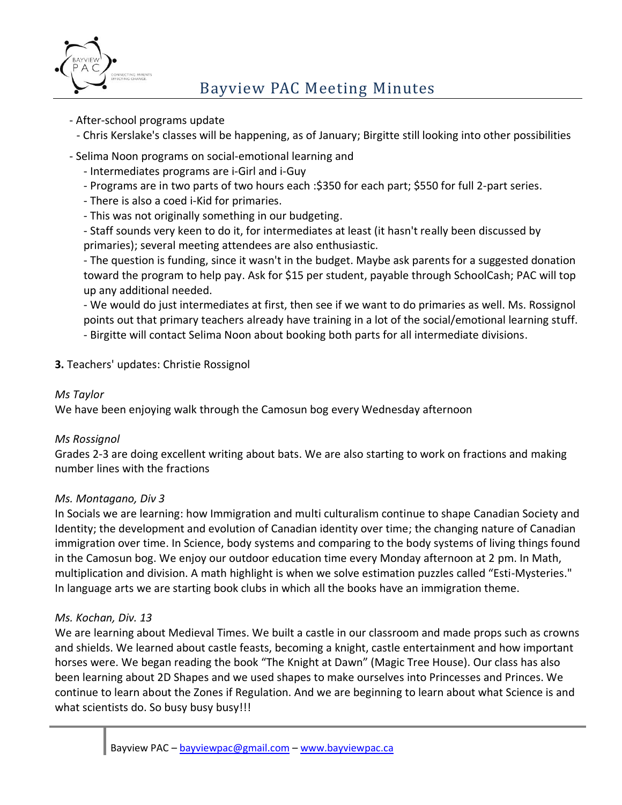

- After-school programs update
	- Chris Kerslake's classes will be happening, as of January; Birgitte still looking into other possibilities
- Selima Noon programs on social-emotional learning and
	- Intermediates programs are i-Girl and i-Guy
	- Programs are in two parts of two hours each :\$350 for each part; \$550 for full 2-part series.
	- There is also a coed i-Kid for primaries.
	- This was not originally something in our budgeting.
	- Staff sounds very keen to do it, for intermediates at least (it hasn't really been discussed by primaries); several meeting attendees are also enthusiastic.
	- The question is funding, since it wasn't in the budget. Maybe ask parents for a suggested donation toward the program to help pay. Ask for \$15 per student, payable through SchoolCash; PAC will top up any additional needed.

- We would do just intermediates at first, then see if we want to do primaries as well. Ms. Rossignol points out that primary teachers already have training in a lot of the social/emotional learning stuff. - Birgitte will contact Selima Noon about booking both parts for all intermediate divisions.

**3.** Teachers' updates: Christie Rossignol

#### *Ms Taylor*

We have been enjoying walk through the Camosun bog every Wednesday afternoon

## *Ms Rossignol*

Grades 2-3 are doing excellent writing about bats. We are also starting to work on fractions and making number lines with the fractions

#### *Ms. Montagano, Div 3*

In Socials we are learning: how Immigration and multi culturalism continue to shape Canadian Society and Identity; the development and evolution of Canadian identity over time; the changing nature of Canadian immigration over time. In Science, body systems and comparing to the body systems of living things found in the Camosun bog. We enjoy our outdoor education time every Monday afternoon at 2 pm. In Math, multiplication and division. A math highlight is when we solve estimation puzzles called "Esti-Mysteries." In language arts we are starting book clubs in which all the books have an immigration theme.

## *Ms. Kochan, Div. 13*

We are learning about Medieval Times. We built a castle in our classroom and made props such as crowns and shields. We learned about castle feasts, becoming a knight, castle entertainment and how important horses were. We began reading the book "The Knight at Dawn" (Magic Tree House). Our class has also been learning about 2D Shapes and we used shapes to make ourselves into Princesses and Princes. We continue to learn about the Zones if Regulation. And we are beginning to learn about what Science is and what scientists do. So busy busy busy!!!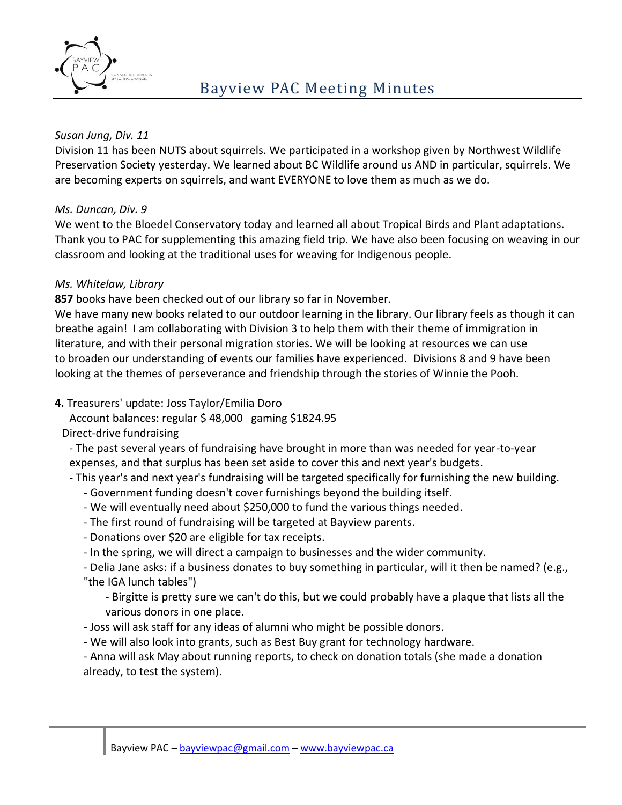

## *Susan Jung, Div. 11*

Division 11 has been NUTS about squirrels. We participated in a workshop given by Northwest Wildlife Preservation Society yesterday. We learned about BC Wildlife around us AND in particular, squirrels. We are becoming experts on squirrels, and want EVERYONE to love them as much as we do.

# *Ms. Duncan, Div. 9*

We went to the Bloedel Conservatory today and learned all about Tropical Birds and Plant adaptations. Thank you to PAC for supplementing this amazing field trip. We have also been focusing on weaving in our classroom and looking at the traditional uses for weaving for Indigenous people.

# *Ms. Whitelaw, Library*

**857** books have been checked out of our library so far in November.

We have many new books related to our outdoor learning in the library. Our library feels as though it can breathe again! I am collaborating with Division 3 to help them with their theme of immigration in literature, and with their personal migration stories. We will be looking at resources we can use to broaden our understanding of events our families have experienced. Divisions 8 and 9 have been looking at the themes of perseverance and friendship through the stories of Winnie the Pooh.

## **4.** Treasurers' update: Joss Taylor/Emilia Doro

Account balances: regular \$ 48,000 gaming \$1824.95

## Direct-drive fundraising

- The past several years of fundraising have brought in more than was needed for year-to-year expenses, and that surplus has been set aside to cover this and next year's budgets.

- This year's and next year's fundraising will be targeted specifically for furnishing the new building.

- Government funding doesn't cover furnishings beyond the building itself.
- We will eventually need about \$250,000 to fund the various things needed.
- The first round of fundraising will be targeted at Bayview parents.
- Donations over \$20 are eligible for tax receipts.
- In the spring, we will direct a campaign to businesses and the wider community.

- Delia Jane asks: if a business donates to buy something in particular, will it then be named? (e.g., "the IGA lunch tables")

- Birgitte is pretty sure we can't do this, but we could probably have a plaque that lists all the various donors in one place.

- Joss will ask staff for any ideas of alumni who might be possible donors.
- We will also look into grants, such as Best Buy grant for technology hardware.

- Anna will ask May about running reports, to check on donation totals (she made a donation already, to test the system).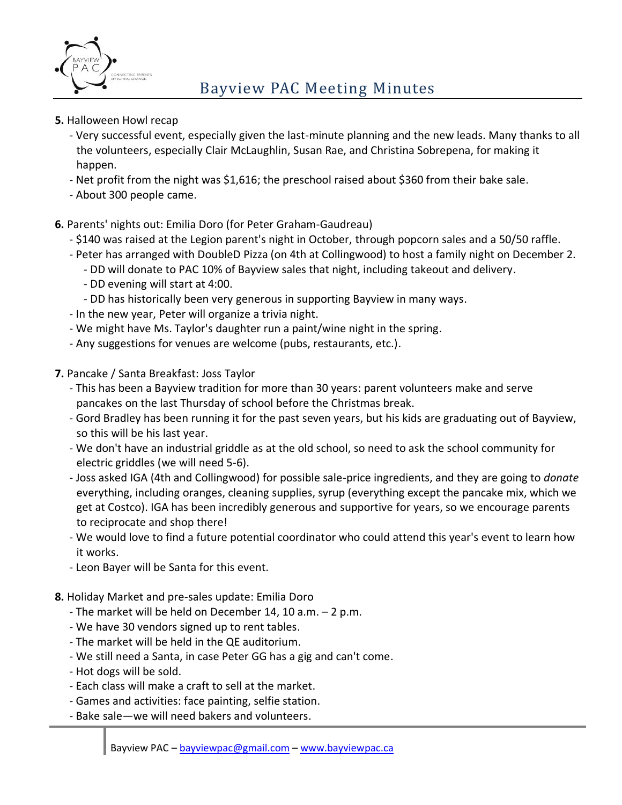

- **5.** Halloween Howl recap
	- Very successful event, especially given the last-minute planning and the new leads. Many thanks to all the volunteers, especially Clair McLaughlin, Susan Rae, and Christina Sobrepena, for making it happen.
	- Net profit from the night was \$1,616; the preschool raised about \$360 from their bake sale.
	- About 300 people came.
- **6.** Parents' nights out: Emilia Doro (for Peter Graham-Gaudreau)
	- \$140 was raised at the Legion parent's night in October, through popcorn sales and a 50/50 raffle.
	- Peter has arranged with DoubleD Pizza (on 4th at Collingwood) to host a family night on December 2.
		- DD will donate to PAC 10% of Bayview sales that night, including takeout and delivery.
		- DD evening will start at 4:00.
		- DD has historically been very generous in supporting Bayview in many ways.
	- In the new year, Peter will organize a trivia night.
	- We might have Ms. Taylor's daughter run a paint/wine night in the spring.
	- Any suggestions for venues are welcome (pubs, restaurants, etc.).
- **7.** Pancake / Santa Breakfast: Joss Taylor
	- This has been a Bayview tradition for more than 30 years: parent volunteers make and serve pancakes on the last Thursday of school before the Christmas break.
	- Gord Bradley has been running it for the past seven years, but his kids are graduating out of Bayview, so this will be his last year.
	- We don't have an industrial griddle as at the old school, so need to ask the school community for electric griddles (we will need 5-6).
	- Joss asked IGA (4th and Collingwood) for possible sale-price ingredients, and they are going to *donate* everything, including oranges, cleaning supplies, syrup (everything except the pancake mix, which we get at Costco). IGA has been incredibly generous and supportive for years, so we encourage parents to reciprocate and shop there!
	- We would love to find a future potential coordinator who could attend this year's event to learn how it works.
	- Leon Bayer will be Santa for this event.
- **8.** Holiday Market and pre-sales update: Emilia Doro
	- The market will be held on December 14, 10 a.m. 2 p.m.
	- We have 30 vendors signed up to rent tables.
	- The market will be held in the QE auditorium.
	- We still need a Santa, in case Peter GG has a gig and can't come.
	- Hot dogs will be sold.
	- Each class will make a craft to sell at the market.
	- Games and activities: face painting, selfie station.
	- Bake sale—we will need bakers and volunteers.